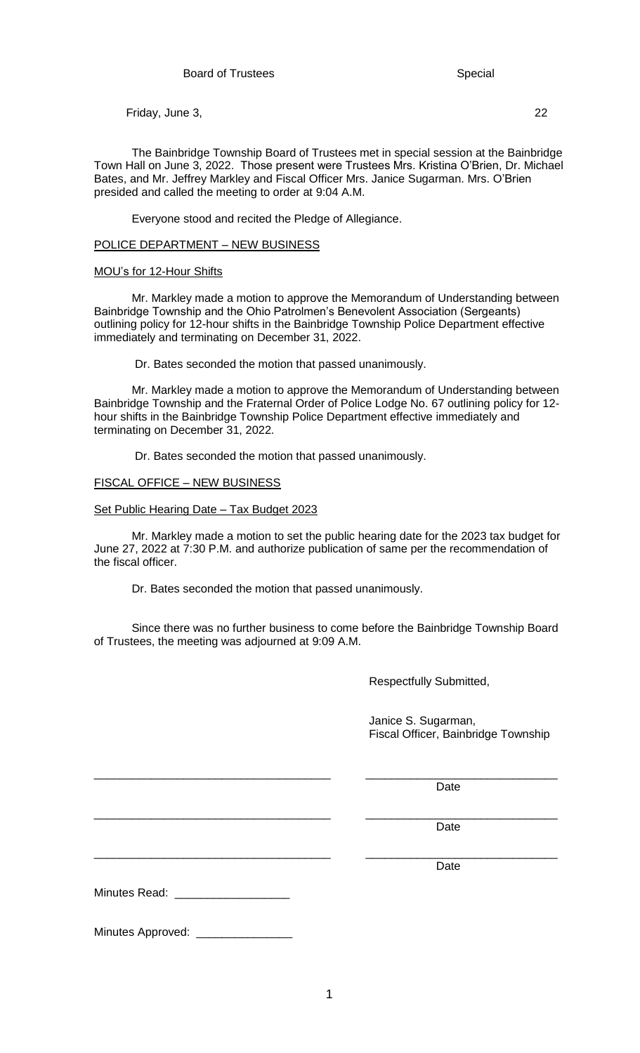Friday, June 3, 22

The Bainbridge Township Board of Trustees met in special session at the Bainbridge Town Hall on June 3, 2022. Those present were Trustees Mrs. Kristina O'Brien, Dr. Michael Bates, and Mr. Jeffrey Markley and Fiscal Officer Mrs. Janice Sugarman. Mrs. O'Brien presided and called the meeting to order at 9:04 A.M.

Everyone stood and recited the Pledge of Allegiance.

## POLICE DEPARTMENT – NEW BUSINESS

## MOU's for 12-Hour Shifts

Mr. Markley made a motion to approve the Memorandum of Understanding between Bainbridge Township and the Ohio Patrolmen's Benevolent Association (Sergeants) outlining policy for 12-hour shifts in the Bainbridge Township Police Department effective immediately and terminating on December 31, 2022.

Dr. Bates seconded the motion that passed unanimously.

Mr. Markley made a motion to approve the Memorandum of Understanding between Bainbridge Township and the Fraternal Order of Police Lodge No. 67 outlining policy for 12 hour shifts in the Bainbridge Township Police Department effective immediately and terminating on December 31, 2022.

Dr. Bates seconded the motion that passed unanimously.

## FISCAL OFFICE – NEW BUSINESS

Set Public Hearing Date – Tax Budget 2023

Mr. Markley made a motion to set the public hearing date for the 2023 tax budget for June 27, 2022 at 7:30 P.M. and authorize publication of same per the recommendation of the fiscal officer.

Dr. Bates seconded the motion that passed unanimously.

Since there was no further business to come before the Bainbridge Township Board of Trustees, the meeting was adjourned at 9:09 A.M.

\_\_\_\_\_\_\_\_\_\_\_\_\_\_\_\_\_\_\_\_\_\_\_\_\_\_\_\_\_\_\_\_\_\_\_\_\_ \_\_\_\_\_\_\_\_\_\_\_\_\_\_\_\_\_\_\_\_\_\_\_\_\_\_\_\_\_\_

\_\_\_\_\_\_\_\_\_\_\_\_\_\_\_\_\_\_\_\_\_\_\_\_\_\_\_\_\_\_\_\_\_\_\_\_\_ \_\_\_\_\_\_\_\_\_\_\_\_\_\_\_\_\_\_\_\_\_\_\_\_\_\_\_\_\_\_

Respectfully Submitted,

 Janice S. Sugarman, Fiscal Officer, Bainbridge Township

discussion of the contract of the contract of the contract of the Date

\_\_\_\_\_\_\_\_\_\_\_\_\_\_\_\_\_\_\_\_\_\_\_\_\_\_\_\_\_\_\_\_\_\_\_\_\_ \_\_\_\_\_\_\_\_\_\_\_\_\_\_\_\_\_\_\_\_\_\_\_\_\_\_\_\_\_\_ discussion of the contract of the contract of the contract of the Date

discussion of the contract of the contract of the contract of the Date

Minutes Read: \_\_\_\_\_\_\_\_\_\_\_\_\_\_\_\_\_\_

Minutes Approved: \_\_\_\_\_\_\_\_\_\_\_\_\_\_\_\_\_